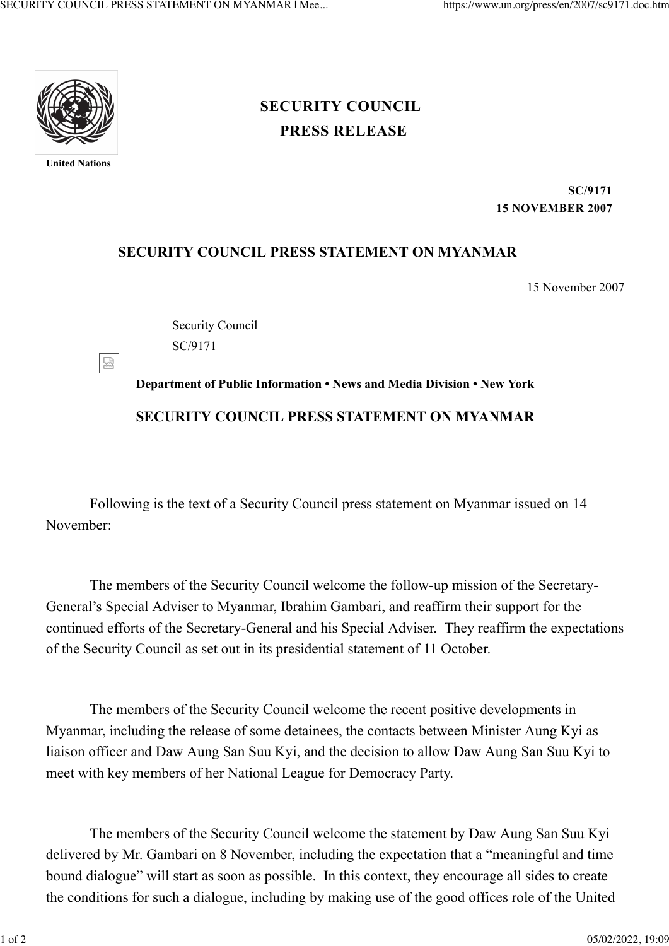

**United Nations**

덣

## **[PRESS RELEASE](https://www.un.org/press/en/press-release) [SECURITY COUNCIL](https://www.un.org/press/en/security-council)**

**SC/9171 15 NOVEMBER 2007**

## **SECURITY COUNCIL PRESS STATEMENT ON MYANMAR**

15 November 2007

Security Council SC/9171

**Department of Public Information • News and Media Division • New York SECURITY COUNCIL PRESS STATEMENT ON MYANMAR**

Following is the text of a Security Council press statement on Myanmar issued on 14 November:

The members of the Security Council welcome the follow-up mission of the Secretary-General's Special Adviser to Myanmar, Ibrahim Gambari, and reaffirm their support for the continued efforts of the Secretary-General and his Special Adviser. They reaffirm the expectations of the Security Council as set out in its presidential statement of 11 October.

The members of the Security Council welcome the recent positive developments in Myanmar, including the release of some detainees, the contacts between Minister Aung Kyi as liaison officer and Daw Aung San Suu Kyi, and the decision to allow Daw Aung San Suu Kyi to meet with key members of her National League for Democracy Party.

The members of the Security Council welcome the statement by Daw Aung San Suu Kyi delivered by Mr. Gambari on 8 November, including the expectation that a "meaningful and time bound dialogue" will start as soon as possible. In this context, they encourage all sides to create the conditions for such a dialogue, including by making use of the good offices role of the United